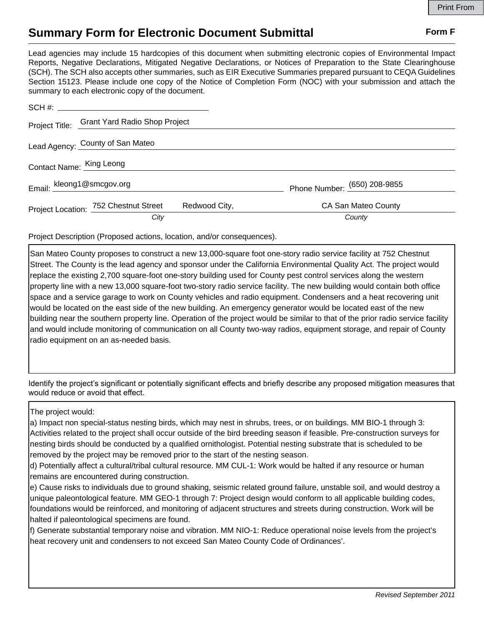## **Summary Form for Electronic Document Submittal Form F Form F**

Lead agencies may include 15 hardcopies of this document when submitting electronic copies of Environmental Impact Reports, Negative Declarations, Mitigated Negative Declarations, or Notices of Preparation to the State Clearinghouse (SCH). The SCH also accepts other summaries, such as EIR Executive Summaries prepared pursuant to CEQA Guidelines Section 15123. Please include one copy of the Notice of Completion Form (NOC) with your submission and attach the summary to each electronic copy of the document.

|                                  | Project Title: Grant Yard Radio Shop Project |               |                              |
|----------------------------------|----------------------------------------------|---------------|------------------------------|
| Lead Agency: County of San Mateo |                                              |               |                              |
| Contact Name: King Leong         |                                              |               |                              |
| Email: kleong1@smcgov.org        |                                              |               | Phone Number: (650) 208-9855 |
|                                  | Project Location: 752 Chestnut Street        | Redwood City, | CA San Mateo County          |
|                                  | City                                         |               | County                       |

Project Description (Proposed actions, location, and/or consequences).

San Mateo County proposes to construct a new 13,000-square foot one-story radio service facility at 752 Chestnut Street. The County is the lead agency and sponsor under the California Environmental Quality Act. The project would replace the existing 2,700 square-foot one-story building used for County pest control services along the western property line with a new 13,000 square-foot two-story radio service facility. The new building would contain both office space and a service garage to work on County vehicles and radio equipment. Condensers and a heat recovering unit would be located on the east side of the new building. An emergency generator would be located east of the new building near the southern property line. Operation of the project would be similar to that of the prior radio service facility and would include monitoring of communication on all County two-way radios, equipment storage, and repair of County radio equipment on an as-needed basis.

Identify the project's significant or potentially significant effects and briefly describe any proposed mitigation measures that would reduce or avoid that effect.

## The project would:

a) Impact non special-status nesting birds, which may nest in shrubs, trees, or on buildings. MM BIO-1 through 3: Activities related to the project shall occur outside of the bird breeding season if feasible. Pre-construction surveys for nesting birds should be conducted by a qualified ornithologist. Potential nesting substrate that is scheduled to be removed by the project may be removed prior to the start of the nesting season.

d) Potentially affect a cultural/tribal cultural resource. MM CUL-1: Work would be halted if any resource or human remains are encountered during construction.

e) Cause risks to individuals due to ground shaking, seismic related ground failure, unstable soil, and would destroy a unique paleontological feature. MM GEO-1 through 7: Project design would conform to all applicable building codes, foundations would be reinforced, and monitoring of adjacent structures and streets during construction. Work will be halted if paleontological specimens are found.

f) Generate substantial temporary noise and vibration. MM NIO-1: Reduce operational noise levels from the project's heat recovery unit and condensers to not exceed San Mateo County Code of Ordinances'.